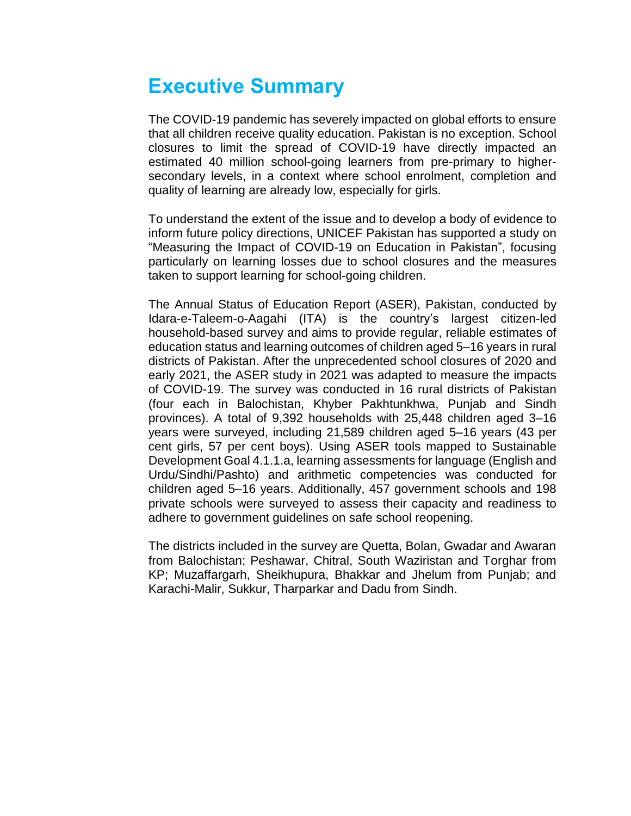## **Executive Summary**

The COVID-19 pandemic has severely impacted on global efforts to ensure that all children receive quality education. Pakistan is no exception. School closures to limit the spread of COVID-19 have directly impacted an estimated 40 million school-going learners from pre-primary to highersecondary levels, in a context where school enrolment, completion and quality of learning are already low, especially for girls.

To understand the extent of the issue and to develop a body of evidence to inform future policy directions, UNICEF Pakistan has supported a study on "Measuring the Impact of COVID-19 on Education in Pakistan", focusing particularly on learning losses due to school closures and the measures taken to support learning for school-going children.

The Annual Status of Education Report (ASER), Pakistan, conducted by Idara-e-Taleem-o-Aagahi (ITA) is the country's largest citizen-led household-based survey and aims to provide regular, reliable estimates of education status and learning outcomes of children aged 5–16 years in rural districts of Pakistan. After the unprecedented school closures of 2020 and early 2021, the ASER study in 2021 was adapted to measure the impacts of COVID-19. The survey was conducted in 16 rural districts of Pakistan (four each in Balochistan, Khyber Pakhtunkhwa, Punjab and Sindh provinces). A total of 9,392 households with 25,448 children aged 3–16 years were surveyed, including 21,589 children aged 5–16 years (43 per cent girls, 57 per cent boys). Using ASER tools mapped to Sustainable Development Goal 4.1.1.a, learning assessments for language (English and Urdu/Sindhi/Pashto) and arithmetic competencies was conducted for children aged 5–16 years. Additionally, 457 government schools and 198 private schools were surveyed to assess their capacity and readiness to adhere to government guidelines on safe school reopening.

The districts included in the survey are Quetta, Bolan, Gwadar and Awaran from Balochistan; Peshawar, Chitral, South Waziristan and Torghar from KP; Muzaffargarh, Sheikhupura, Bhakkar and Jhelum from Punjab; and Karachi-Malir, Sukkur, Tharparkar and Dadu from Sindh.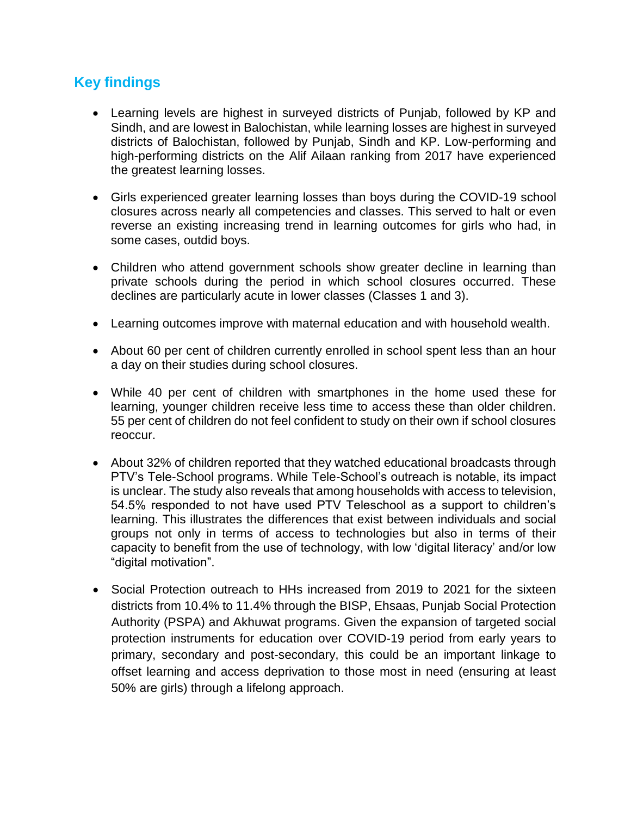## **Key findings**

- Learning levels are highest in surveyed districts of Punjab, followed by KP and Sindh, and are lowest in Balochistan, while learning losses are highest in surveyed districts of Balochistan, followed by Punjab, Sindh and KP. Low-performing and high-performing districts on the Alif Ailaan ranking from 2017 have experienced the greatest learning losses.
- Girls experienced greater learning losses than boys during the COVID-19 school closures across nearly all competencies and classes. This served to halt or even reverse an existing increasing trend in learning outcomes for girls who had, in some cases, outdid boys.
- Children who attend government schools show greater decline in learning than private schools during the period in which school closures occurred. These declines are particularly acute in lower classes (Classes 1 and 3).
- Learning outcomes improve with maternal education and with household wealth.
- About 60 per cent of children currently enrolled in school spent less than an hour a day on their studies during school closures.
- While 40 per cent of children with smartphones in the home used these for learning, younger children receive less time to access these than older children. 55 per cent of children do not feel confident to study on their own if school closures reoccur.
- About 32% of children reported that they watched educational broadcasts through PTV's Tele-School programs. While Tele-School's outreach is notable, its impact is unclear. The study also reveals that among households with access to television, 54.5% responded to not have used PTV Teleschool as a support to children's learning. This illustrates the differences that exist between individuals and social groups not only in terms of access to technologies but also in terms of their capacity to benefit from the use of technology, with low 'digital literacy' and/or low "digital motivation".
- Social Protection outreach to HHs increased from 2019 to 2021 for the sixteen districts from 10.4% to 11.4% through the BISP, Ehsaas, Punjab Social Protection Authority (PSPA) and Akhuwat programs. Given the expansion of targeted social protection instruments for education over COVID-19 period from early years to primary, secondary and post-secondary, this could be an important linkage to offset learning and access deprivation to those most in need (ensuring at least 50% are girls) through a lifelong approach.